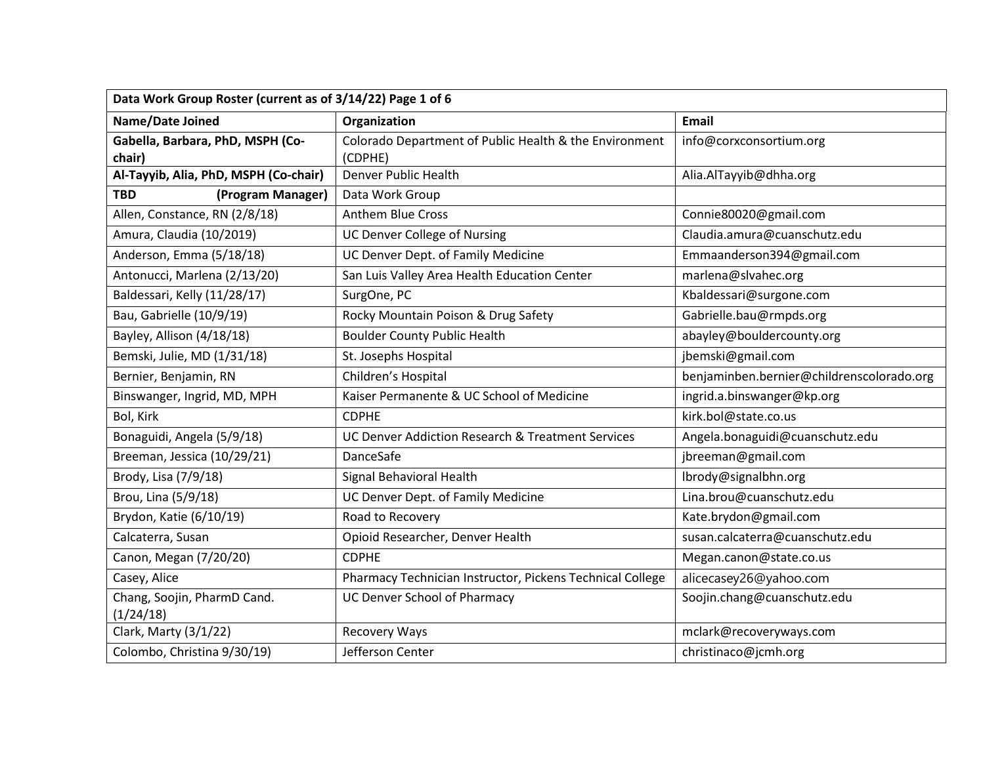| Data Work Group Roster (current as of 3/14/22) Page 1 of 6 |                                                                   |                                           |
|------------------------------------------------------------|-------------------------------------------------------------------|-------------------------------------------|
| Name/Date Joined                                           | Organization                                                      | Email                                     |
| Gabella, Barbara, PhD, MSPH (Co-<br>chair)                 | Colorado Department of Public Health & the Environment<br>(CDPHE) | info@corxconsortium.org                   |
| Al-Tayyib, Alia, PhD, MSPH (Co-chair)                      | Denver Public Health                                              | Alia.AlTayyib@dhha.org                    |
| <b>TBD</b><br>(Program Manager)                            | Data Work Group                                                   |                                           |
| Allen, Constance, RN (2/8/18)                              | <b>Anthem Blue Cross</b>                                          | Connie80020@gmail.com                     |
| Amura, Claudia (10/2019)                                   | <b>UC Denver College of Nursing</b>                               | Claudia.amura@cuanschutz.edu              |
| Anderson, Emma (5/18/18)                                   | UC Denver Dept. of Family Medicine                                | Emmaanderson394@gmail.com                 |
| Antonucci, Marlena (2/13/20)                               | San Luis Valley Area Health Education Center                      | marlena@slvahec.org                       |
| Baldessari, Kelly (11/28/17)                               | SurgOne, PC                                                       | Kbaldessari@surgone.com                   |
| Bau, Gabrielle (10/9/19)                                   | Rocky Mountain Poison & Drug Safety                               | Gabrielle.bau@rmpds.org                   |
| Bayley, Allison (4/18/18)                                  | <b>Boulder County Public Health</b>                               | abayley@bouldercounty.org                 |
| Bemski, Julie, MD (1/31/18)                                | St. Josephs Hospital                                              | jbemski@gmail.com                         |
| Bernier, Benjamin, RN                                      | Children's Hospital                                               | benjaminben.bernier@childrenscolorado.org |
| Binswanger, Ingrid, MD, MPH                                | Kaiser Permanente & UC School of Medicine                         | ingrid.a.binswanger@kp.org                |
| Bol, Kirk                                                  | <b>CDPHE</b>                                                      | kirk.bol@state.co.us                      |
| Bonaguidi, Angela (5/9/18)                                 | UC Denver Addiction Research & Treatment Services                 | Angela.bonaguidi@cuanschutz.edu           |
| Breeman, Jessica (10/29/21)                                | DanceSafe                                                         | jbreeman@gmail.com                        |
| Brody, Lisa (7/9/18)                                       | Signal Behavioral Health                                          | lbrody@signalbhn.org                      |
| Brou, Lina (5/9/18)                                        | UC Denver Dept. of Family Medicine                                | Lina.brou@cuanschutz.edu                  |
| Brydon, Katie (6/10/19)                                    | Road to Recovery                                                  | Kate.brydon@gmail.com                     |
| Calcaterra, Susan                                          | Opioid Researcher, Denver Health                                  | susan.calcaterra@cuanschutz.edu           |
| Canon, Megan (7/20/20)                                     | <b>CDPHE</b>                                                      | Megan.canon@state.co.us                   |
| Casey, Alice                                               | Pharmacy Technician Instructor, Pickens Technical College         | alicecasey26@yahoo.com                    |
| Chang, Soojin, PharmD Cand.<br>(1/24/18)                   | <b>UC Denver School of Pharmacy</b>                               | Soojin.chang@cuanschutz.edu               |
| Clark, Marty (3/1/22)                                      | <b>Recovery Ways</b>                                              | mclark@recoveryways.com                   |
| Colombo, Christina 9/30/19)                                | Jefferson Center                                                  | christinaco@jcmh.org                      |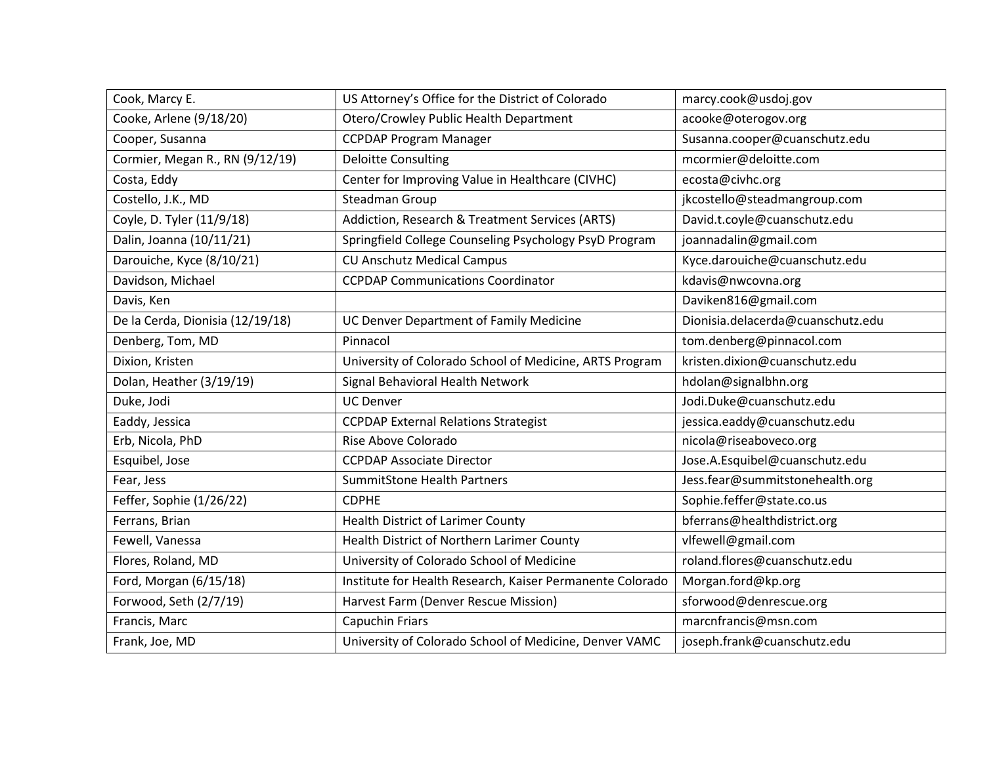| Cook, Marcy E.                   | US Attorney's Office for the District of Colorado         | marcy.cook@usdoj.gov              |
|----------------------------------|-----------------------------------------------------------|-----------------------------------|
| Cooke, Arlene (9/18/20)          | Otero/Crowley Public Health Department                    | acooke@oterogov.org               |
| Cooper, Susanna                  | <b>CCPDAP Program Manager</b>                             | Susanna.cooper@cuanschutz.edu     |
| Cormier, Megan R., RN (9/12/19)  | <b>Deloitte Consulting</b>                                | mcormier@deloitte.com             |
| Costa, Eddy                      | Center for Improving Value in Healthcare (CIVHC)          | ecosta@civhc.org                  |
| Costello, J.K., MD               | Steadman Group                                            | jkcostello@steadmangroup.com      |
| Coyle, D. Tyler (11/9/18)        | Addiction, Research & Treatment Services (ARTS)           | David.t.coyle@cuanschutz.edu      |
| Dalin, Joanna (10/11/21)         | Springfield College Counseling Psychology PsyD Program    | joannadalin@gmail.com             |
| Darouiche, Kyce (8/10/21)        | <b>CU Anschutz Medical Campus</b>                         | Kyce.darouiche@cuanschutz.edu     |
| Davidson, Michael                | <b>CCPDAP Communications Coordinator</b>                  | kdavis@nwcovna.org                |
| Davis, Ken                       |                                                           | Daviken816@gmail.com              |
| De la Cerda, Dionisia (12/19/18) | UC Denver Department of Family Medicine                   | Dionisia.delacerda@cuanschutz.edu |
| Denberg, Tom, MD                 | Pinnacol                                                  | tom.denberg@pinnacol.com          |
| Dixion, Kristen                  | University of Colorado School of Medicine, ARTS Program   | kristen.dixion@cuanschutz.edu     |
| Dolan, Heather (3/19/19)         | Signal Behavioral Health Network                          | hdolan@signalbhn.org              |
| Duke, Jodi                       | <b>UC Denver</b>                                          | Jodi.Duke@cuanschutz.edu          |
| Eaddy, Jessica                   | <b>CCPDAP External Relations Strategist</b>               | jessica.eaddy@cuanschutz.edu      |
| Erb, Nicola, PhD                 | Rise Above Colorado                                       | nicola@riseaboveco.org            |
| Esquibel, Jose                   | <b>CCPDAP Associate Director</b>                          | Jose.A.Esquibel@cuanschutz.edu    |
| Fear, Jess                       | <b>SummitStone Health Partners</b>                        | Jess.fear@summitstonehealth.org   |
| Feffer, Sophie (1/26/22)         | <b>CDPHE</b>                                              | Sophie.feffer@state.co.us         |
| Ferrans, Brian                   | <b>Health District of Larimer County</b>                  | bferrans@healthdistrict.org       |
| Fewell, Vanessa                  | Health District of Northern Larimer County                | vlfewell@gmail.com                |
| Flores, Roland, MD               | University of Colorado School of Medicine                 | roland.flores@cuanschutz.edu      |
| Ford, Morgan (6/15/18)           | Institute for Health Research, Kaiser Permanente Colorado | Morgan.ford@kp.org                |
| Forwood, Seth (2/7/19)           | Harvest Farm (Denver Rescue Mission)                      | sforwood@denrescue.org            |
| Francis, Marc                    | <b>Capuchin Friars</b>                                    | marcnfrancis@msn.com              |
| Frank, Joe, MD                   | University of Colorado School of Medicine, Denver VAMC    | joseph.frank@cuanschutz.edu       |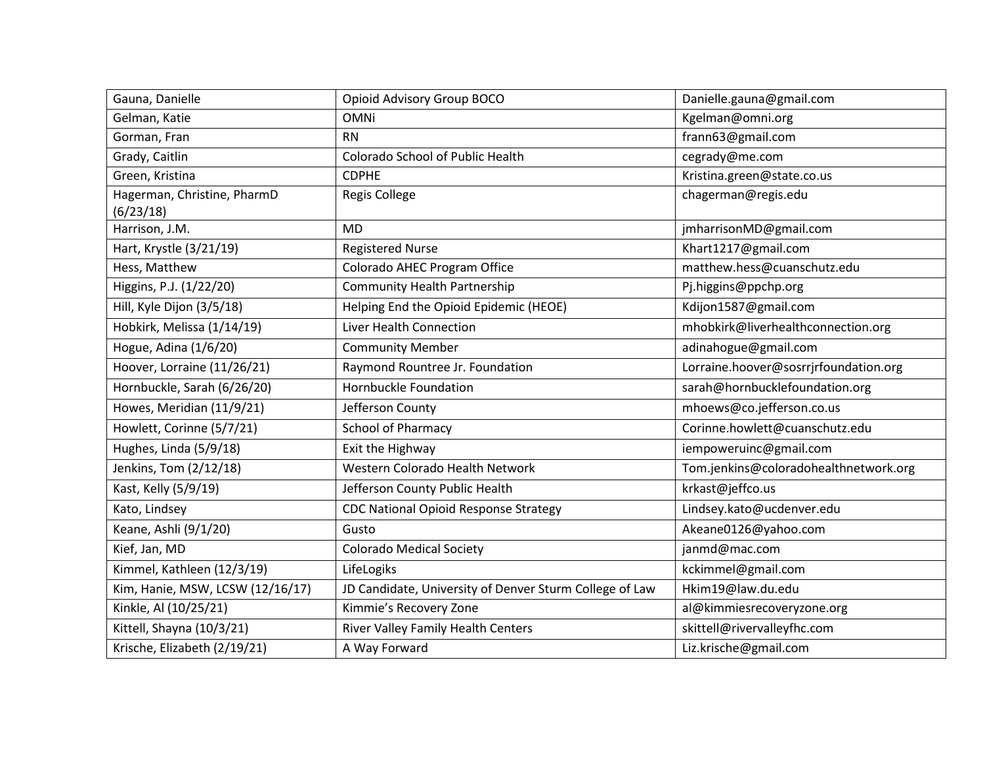| Gauna, Danielle                          | Opioid Advisory Group BOCO                              | Danielle.gauna@gmail.com              |
|------------------------------------------|---------------------------------------------------------|---------------------------------------|
| Gelman, Katie                            | <b>OMNi</b>                                             | Kgelman@omni.org                      |
| Gorman, Fran                             | <b>RN</b>                                               | frann63@gmail.com                     |
| Grady, Caitlin                           | Colorado School of Public Health                        | cegrady@me.com                        |
| Green, Kristina                          | <b>CDPHE</b>                                            | Kristina.green@state.co.us            |
| Hagerman, Christine, PharmD<br>(6/23/18) | <b>Regis College</b>                                    | chagerman@regis.edu                   |
| Harrison, J.M.                           | <b>MD</b>                                               | jmharrisonMD@gmail.com                |
| Hart, Krystle (3/21/19)                  | <b>Registered Nurse</b>                                 | Khart1217@gmail.com                   |
| Hess, Matthew                            | Colorado AHEC Program Office                            | matthew.hess@cuanschutz.edu           |
| Higgins, P.J. (1/22/20)                  | <b>Community Health Partnership</b>                     | Pj.higgins@ppchp.org                  |
| Hill, Kyle Dijon (3/5/18)                | Helping End the Opioid Epidemic (HEOE)                  | Kdijon1587@gmail.com                  |
| Hobkirk, Melissa (1/14/19)               | Liver Health Connection                                 | mhobkirk@liverhealthconnection.org    |
| Hogue, Adina (1/6/20)                    | <b>Community Member</b>                                 | adinahogue@gmail.com                  |
| Hoover, Lorraine (11/26/21)              | Raymond Rountree Jr. Foundation                         | Lorraine.hoover@sosrrjrfoundation.org |
| Hornbuckle, Sarah (6/26/20)              | Hornbuckle Foundation                                   | sarah@hornbucklefoundation.org        |
| Howes, Meridian (11/9/21)                | Jefferson County                                        | mhoews@co.jefferson.co.us             |
| Howlett, Corinne (5/7/21)                | <b>School of Pharmacy</b>                               | Corinne.howlett@cuanschutz.edu        |
| Hughes, Linda (5/9/18)                   | Exit the Highway                                        | iempoweruinc@gmail.com                |
| Jenkins, Tom (2/12/18)                   | Western Colorado Health Network                         | Tom.jenkins@coloradohealthnetwork.org |
| Kast, Kelly (5/9/19)                     | Jefferson County Public Health                          | krkast@jeffco.us                      |
| Kato, Lindsey                            | <b>CDC National Opioid Response Strategy</b>            | Lindsey.kato@ucdenver.edu             |
| Keane, Ashli (9/1/20)                    | Gusto                                                   | Akeane0126@yahoo.com                  |
| Kief, Jan, MD                            | <b>Colorado Medical Society</b>                         | janmd@mac.com                         |
| Kimmel, Kathleen (12/3/19)               | LifeLogiks                                              | kckimmel@gmail.com                    |
| Kim, Hanie, MSW, LCSW (12/16/17)         | JD Candidate, University of Denver Sturm College of Law | Hkim19@law.du.edu                     |
| Kinkle, Al (10/25/21)                    | Kimmie's Recovery Zone                                  | al@kimmiesrecoveryzone.org            |
| Kittell, Shayna (10/3/21)                | River Valley Family Health Centers                      | skittell@rivervalleyfhc.com           |
| Krische, Elizabeth (2/19/21)             | A Way Forward                                           | Liz.krische@gmail.com                 |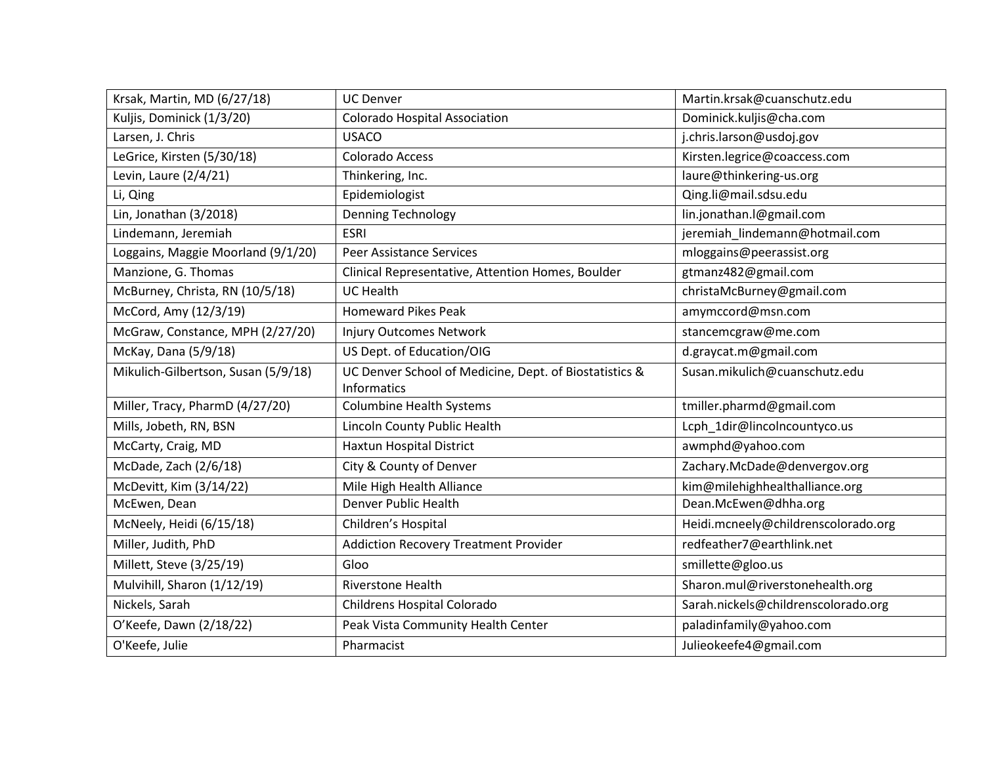| Krsak, Martin, MD (6/27/18)         | <b>UC Denver</b>                                                      | Martin.krsak@cuanschutz.edu         |
|-------------------------------------|-----------------------------------------------------------------------|-------------------------------------|
| Kuljis, Dominick (1/3/20)           | <b>Colorado Hospital Association</b>                                  | Dominick.kuljis@cha.com             |
| Larsen, J. Chris                    | <b>USACO</b>                                                          | j.chris.larson@usdoj.gov            |
| LeGrice, Kirsten (5/30/18)          | Colorado Access                                                       | Kirsten.legrice@coaccess.com        |
| Levin, Laure (2/4/21)               | Thinkering, Inc.                                                      | laure@thinkering-us.org             |
| Li, Qing                            | Epidemiologist                                                        | Qing.li@mail.sdsu.edu               |
| Lin, Jonathan (3/2018)              | <b>Denning Technology</b>                                             | lin.jonathan.l@gmail.com            |
| Lindemann, Jeremiah                 | <b>ESRI</b>                                                           | jeremiah_lindemann@hotmail.com      |
| Loggains, Maggie Moorland (9/1/20)  | <b>Peer Assistance Services</b>                                       | mloggains@peerassist.org            |
| Manzione, G. Thomas                 | Clinical Representative, Attention Homes, Boulder                     | gtmanz482@gmail.com                 |
| McBurney, Christa, RN (10/5/18)     | <b>UC Health</b>                                                      | christaMcBurney@gmail.com           |
| McCord, Amy (12/3/19)               | <b>Homeward Pikes Peak</b>                                            | amymccord@msn.com                   |
| McGraw, Constance, MPH (2/27/20)    | <b>Injury Outcomes Network</b>                                        | stancemcgraw@me.com                 |
| McKay, Dana (5/9/18)                | US Dept. of Education/OIG                                             | d.graycat.m@gmail.com               |
| Mikulich-Gilbertson, Susan (5/9/18) | UC Denver School of Medicine, Dept. of Biostatistics &<br>Informatics | Susan.mikulich@cuanschutz.edu       |
| Miller, Tracy, PharmD (4/27/20)     | <b>Columbine Health Systems</b>                                       | tmiller.pharmd@gmail.com            |
| Mills, Jobeth, RN, BSN              | Lincoln County Public Health                                          | Lcph 1dir@lincolncountyco.us        |
| McCarty, Craig, MD                  | Haxtun Hospital District                                              | awmphd@yahoo.com                    |
| McDade, Zach (2/6/18)               | City & County of Denver                                               | Zachary.McDade@denvergov.org        |
| McDevitt, Kim (3/14/22)             | Mile High Health Alliance                                             | kim@milehighhealthalliance.org      |
| McEwen, Dean                        | Denver Public Health                                                  | Dean.McEwen@dhha.org                |
| McNeely, Heidi (6/15/18)            | Children's Hospital                                                   | Heidi.mcneely@childrenscolorado.org |
| Miller, Judith, PhD                 | <b>Addiction Recovery Treatment Provider</b>                          | redfeather7@earthlink.net           |
| Millett, Steve (3/25/19)            | Gloo                                                                  | smillette@gloo.us                   |
| Mulvihill, Sharon (1/12/19)         | <b>Riverstone Health</b>                                              | Sharon.mul@riverstonehealth.org     |
| Nickels, Sarah                      | Childrens Hospital Colorado                                           | Sarah.nickels@childrenscolorado.org |
| O'Keefe, Dawn (2/18/22)             | Peak Vista Community Health Center                                    | paladinfamily@yahoo.com             |
| O'Keefe, Julie                      | Pharmacist                                                            | Julieokeefe4@gmail.com              |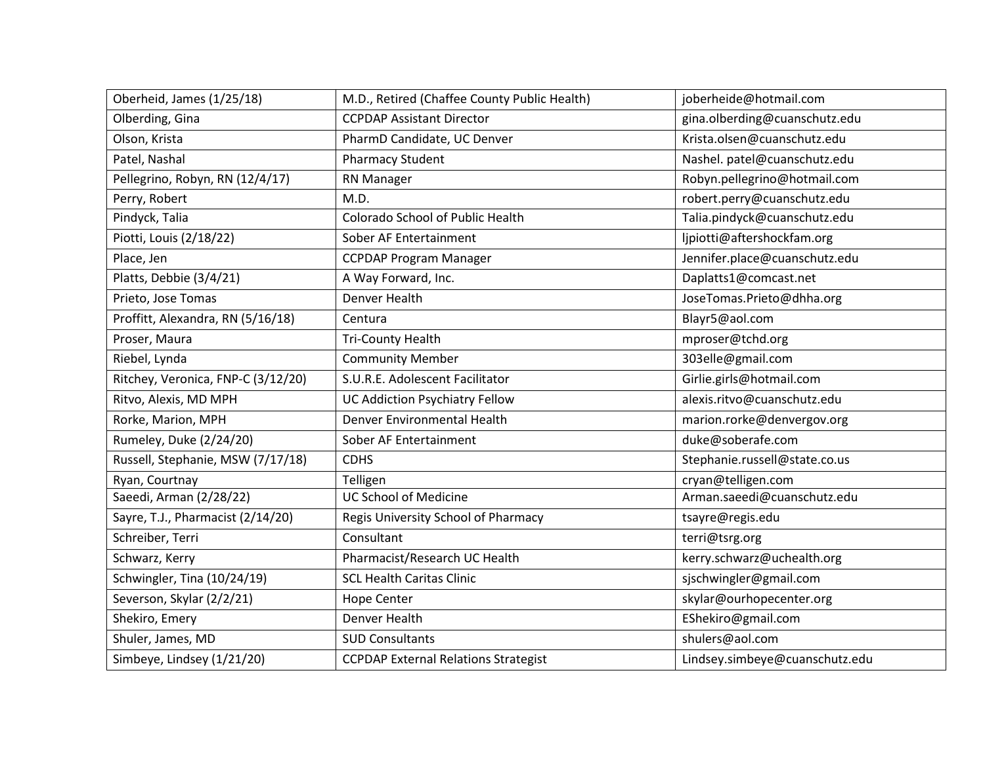| Oberheid, James (1/25/18)          | M.D., Retired (Chaffee County Public Health) | joberheide@hotmail.com         |
|------------------------------------|----------------------------------------------|--------------------------------|
| Olberding, Gina                    | <b>CCPDAP Assistant Director</b>             | gina.olberding@cuanschutz.edu  |
| Olson, Krista                      | PharmD Candidate, UC Denver                  | Krista.olsen@cuanschutz.edu    |
| Patel, Nashal                      | <b>Pharmacy Student</b>                      | Nashel. patel@cuanschutz.edu   |
| Pellegrino, Robyn, RN (12/4/17)    | RN Manager                                   | Robyn.pellegrino@hotmail.com   |
| Perry, Robert                      | M.D.                                         | robert.perry@cuanschutz.edu    |
| Pindyck, Talia                     | Colorado School of Public Health             | Talia.pindyck@cuanschutz.edu   |
| Piotti, Louis (2/18/22)            | Sober AF Entertainment                       | ljpiotti@aftershockfam.org     |
| Place, Jen                         | <b>CCPDAP Program Manager</b>                | Jennifer.place@cuanschutz.edu  |
| Platts, Debbie (3/4/21)            | A Way Forward, Inc.                          | Daplatts1@comcast.net          |
| Prieto, Jose Tomas                 | <b>Denver Health</b>                         | JoseTomas.Prieto@dhha.org      |
| Proffitt, Alexandra, RN (5/16/18)  | Centura                                      | Blayr5@aol.com                 |
| Proser, Maura                      | <b>Tri-County Health</b>                     | mproser@tchd.org               |
| Riebel, Lynda                      | <b>Community Member</b>                      | 303elle@gmail.com              |
| Ritchey, Veronica, FNP-C (3/12/20) | S.U.R.E. Adolescent Facilitator              | Girlie.girls@hotmail.com       |
| Ritvo, Alexis, MD MPH              | <b>UC Addiction Psychiatry Fellow</b>        | alexis.ritvo@cuanschutz.edu    |
| Rorke, Marion, MPH                 | Denver Environmental Health                  | marion.rorke@denvergov.org     |
| Rumeley, Duke (2/24/20)            | Sober AF Entertainment                       | duke@soberafe.com              |
| Russell, Stephanie, MSW (7/17/18)  | <b>CDHS</b>                                  | Stephanie.russell@state.co.us  |
| Ryan, Courtnay                     | Telligen                                     | cryan@telligen.com             |
| Saeedi, Arman (2/28/22)            | <b>UC School of Medicine</b>                 | Arman.saeedi@cuanschutz.edu    |
| Sayre, T.J., Pharmacist (2/14/20)  | Regis University School of Pharmacy          | tsayre@regis.edu               |
| Schreiber, Terri                   | Consultant                                   | terri@tsrg.org                 |
| Schwarz, Kerry                     | Pharmacist/Research UC Health                | kerry.schwarz@uchealth.org     |
| Schwingler, Tina (10/24/19)        | <b>SCL Health Caritas Clinic</b>             | sjschwingler@gmail.com         |
| Severson, Skylar (2/2/21)          | <b>Hope Center</b>                           | skylar@ourhopecenter.org       |
| Shekiro, Emery                     | Denver Health                                | EShekiro@gmail.com             |
| Shuler, James, MD                  | <b>SUD Consultants</b>                       | shulers@aol.com                |
| Simbeye, Lindsey (1/21/20)         | <b>CCPDAP External Relations Strategist</b>  | Lindsey.simbeye@cuanschutz.edu |